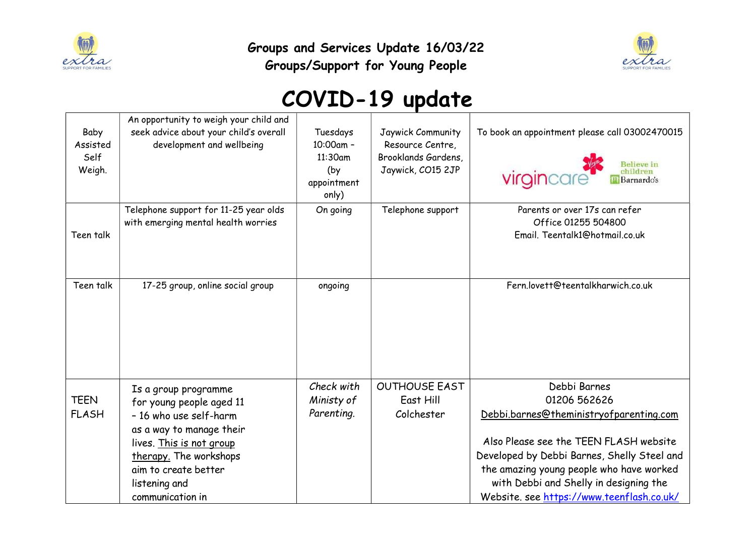

Groups and Services Update 16/03/22 Groups/Support for Young People



## COVID-19 update

| Baby<br>Assisted<br>Self<br>Weigh. | An opportunity to weigh your child and<br>seek advice about your child's overall<br>development and wellbeing                                                                                                             | Tuesdays<br>10:00am -<br>11:30am<br>(by<br>appointment<br>only) | Jaywick Community<br>Resource Centre,<br>Brooklands Gardens,<br>Jaywick, CO15 2JP | To book an appointment please call 03002470015<br>virgincare<br>children<br><b>Barnardo's</b>                                                                                                                                                                                                       |
|------------------------------------|---------------------------------------------------------------------------------------------------------------------------------------------------------------------------------------------------------------------------|-----------------------------------------------------------------|-----------------------------------------------------------------------------------|-----------------------------------------------------------------------------------------------------------------------------------------------------------------------------------------------------------------------------------------------------------------------------------------------------|
| Teen talk                          | Telephone support for 11-25 year olds<br>with emerging mental health worries                                                                                                                                              | On going                                                        | Telephone support                                                                 | Parents or over 17s can refer<br>Office 01255 504800<br>Email. Teentalk1@hotmail.co.uk                                                                                                                                                                                                              |
| Teen talk                          | 17-25 group, online social group                                                                                                                                                                                          | ongoing                                                         |                                                                                   | Fern.lovett@teentalkharwich.co.uk                                                                                                                                                                                                                                                                   |
| <b>TEEN</b><br><b>FLASH</b>        | Is a group programme<br>for young people aged 11<br>- 16 who use self-harm<br>as a way to manage their<br>lives. This is not group<br>therapy. The workshops<br>aim to create better<br>listening and<br>communication in | Check with<br>Ministy of<br>Parenting.                          | <b>OUTHOUSE EAST</b><br>East Hill<br>Colchester                                   | Debbi Barnes<br>01206 562626<br>Debbi.barnes@theministryofparenting.com<br>Also Please see the TEEN FLASH website<br>Developed by Debbi Barnes, Shelly Steel and<br>the amazing young people who have worked<br>with Debbi and Shelly in designing the<br>Website. see https://www.teenflash.co.uk/ |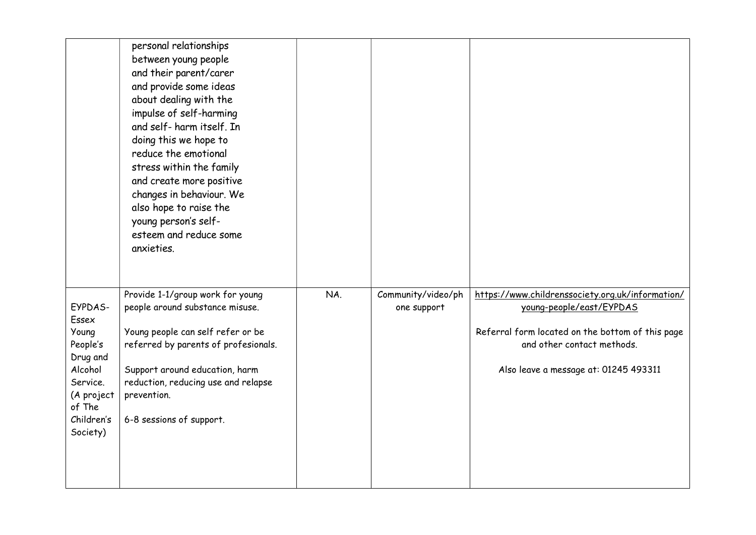|                                                                                                                            | personal relationships<br>between young people<br>and their parent/carer<br>and provide some ideas<br>about dealing with the<br>impulse of self-harming<br>and self- harm itself. In<br>doing this we hope to<br>reduce the emotional<br>stress within the family<br>and create more positive<br>changes in behaviour. We<br>also hope to raise the<br>young person's self-<br>esteem and reduce some<br>anxieties. |     |                                   |                                                                                                                                                                                                         |
|----------------------------------------------------------------------------------------------------------------------------|---------------------------------------------------------------------------------------------------------------------------------------------------------------------------------------------------------------------------------------------------------------------------------------------------------------------------------------------------------------------------------------------------------------------|-----|-----------------------------------|---------------------------------------------------------------------------------------------------------------------------------------------------------------------------------------------------------|
| EYPDAS-<br>Essex<br>Young<br>People's<br>Drug and<br>Alcohol<br>Service.<br>(A project<br>of The<br>Children's<br>Society) | Provide 1-1/group work for young<br>people around substance misuse.<br>Young people can self refer or be<br>referred by parents of profesionals.<br>Support around education, harm<br>reduction, reducing use and relapse<br>prevention.<br>6-8 sessions of support.                                                                                                                                                | NA. | Community/video/ph<br>one support | https://www.childrenssociety.org.uk/information/<br>young-people/east/EYPDAS<br>Referral form located on the bottom of this page<br>and other contact methods.<br>Also leave a message at: 01245 493311 |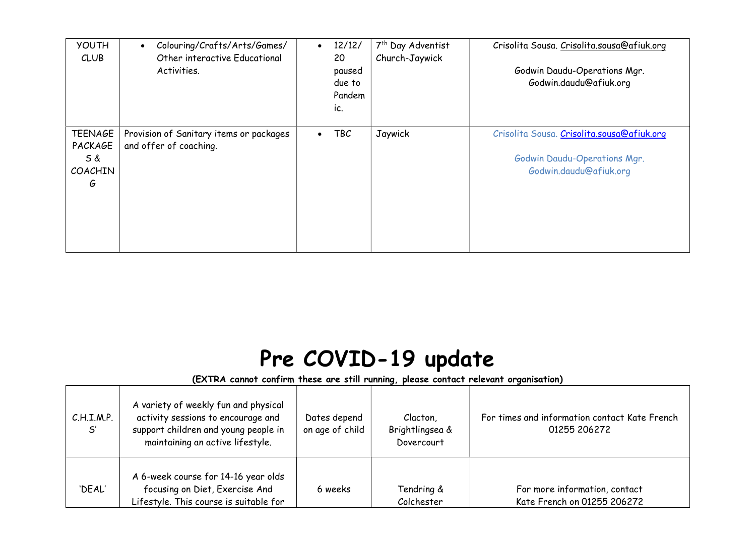| <b>YOUTH</b><br><b>CLUB</b>                             | Colouring/Crafts/Arts/Games/<br>$\bullet$<br>Other interactive Educational<br>Activities. | $\bullet$ | 12/12/<br>20<br>paused<br>due to<br>Pandem<br>ic. | 7 <sup>th</sup> Day Adventist<br>Church-Jaywick | Crisolita Sousa. Crisolita.sousa@afiuk.org<br>Godwin Daudu-Operations Mgr.<br>Godwin.daudu@afiuk.org |
|---------------------------------------------------------|-------------------------------------------------------------------------------------------|-----------|---------------------------------------------------|-------------------------------------------------|------------------------------------------------------------------------------------------------------|
| <b>TEENAGE</b><br>PACKAGE<br>S &<br><b>COACHIN</b><br>G | Provision of Sanitary items or packages<br>and offer of coaching.                         |           | TBC                                               | Jaywick                                         | Crisolita Sousa. Crisolita.sousa@afiuk.org<br>Godwin Daudu-Operations Mgr.<br>Godwin.daudu@afiuk.org |

## Pre COVID-19 update

## (EXTRA cannot confirm these are still running, please contact relevant organisation)

| C.H.I.M.P.<br>S' | A variety of weekly fun and physical<br>activity sessions to encourage and<br>support children and young people in<br>maintaining an active lifestyle. | Dates depend<br>on age of child | Clacton,<br>Brightlingsea &<br>Dovercourt | For times and information contact Kate French<br>01255 206272 |
|------------------|--------------------------------------------------------------------------------------------------------------------------------------------------------|---------------------------------|-------------------------------------------|---------------------------------------------------------------|
| 'DEAL'           | A 6-week course for 14-16 year olds<br>focusing on Diet, Exercise And<br>Lifestyle. This course is suitable for                                        | 6 weeks                         | Tendring &<br>Colchester                  | For more information, contact<br>Kate French on 01255 206272  |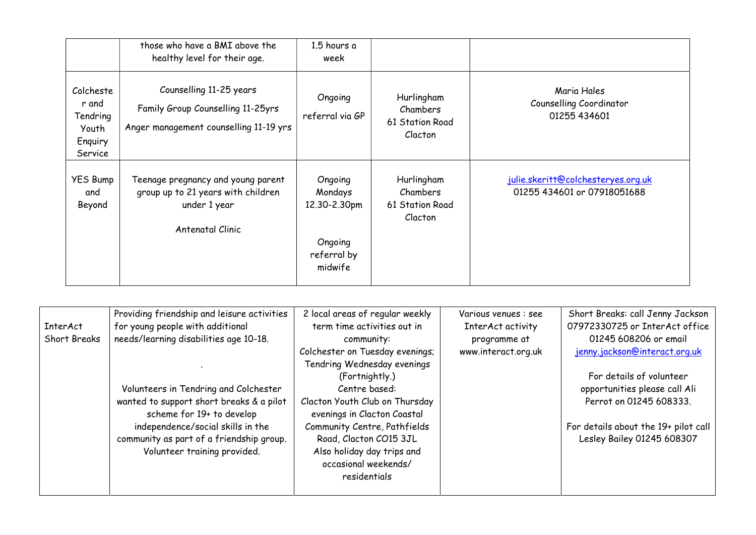|                                                               | those who have a BMI above the<br>healthy level for their age.                                               | 1.5 hours a<br>week                                                     |                                                      |                                                                   |
|---------------------------------------------------------------|--------------------------------------------------------------------------------------------------------------|-------------------------------------------------------------------------|------------------------------------------------------|-------------------------------------------------------------------|
| Colcheste<br>r and<br>Tendring<br>Youth<br>Enquiry<br>Service | Counselling 11-25 years<br>Family Group Counselling 11-25yrs<br>Anger management counselling 11-19 yrs       | Ongoing<br>referral via GP                                              | Hurlingham<br>Chambers<br>61 Station Road<br>Clacton | Maria Hales<br>Counselling Coordinator<br>01255 434601            |
| <b>YES Bump</b><br>and<br>Beyond                              | Teenage pregnancy and young parent<br>group up to 21 years with children<br>under 1 year<br>Antenatal Clinic | Ongoing<br>Mondays<br>12.30-2.30pm<br>Ongoing<br>referral by<br>midwife | Hurlingham<br>Chambers<br>61 Station Road<br>Clacton | julie.skeritt@colchesteryes.org.uk<br>01255 434601 or 07918051688 |

|                 | Providing friendship and leisure activities | 2 local areas of regular weekly | Various venues : see | Short Breaks: call Jenny Jackson     |
|-----------------|---------------------------------------------|---------------------------------|----------------------|--------------------------------------|
| <b>InterAct</b> | for young people with additional            | term time activities out in     | InterAct activity    | 07972330725 or InterAct office       |
| Short Breaks    | needs/learning disabilities age 10-18.      | community:                      | programme at         | 01245 608206 or email                |
|                 |                                             | Colchester on Tuesday evenings; | www.interact.org.uk  | jenny.jackson@interact.org.uk        |
|                 |                                             | Tendring Wednesday evenings     |                      |                                      |
|                 |                                             | (Fortnightly.)                  |                      | For details of volunteer             |
|                 | Volunteers in Tendring and Colchester       | Centre based:                   |                      | opportunities please call Ali        |
|                 | wanted to support short breaks & a pilot    | Clacton Youth Club on Thursday  |                      | Perrot on 01245 608333.              |
|                 | scheme for 19+ to develop                   | evenings in Clacton Coastal     |                      |                                      |
|                 | independence/social skills in the           | Community Centre, Pathfields    |                      | For details about the 19+ pilot call |
|                 | community as part of a friendship group.    | Road, Clacton CO15 3JL          |                      | Lesley Bailey 01245 608307           |
|                 | Volunteer training provided.                | Also holiday day trips and      |                      |                                      |
|                 |                                             | occasional weekends/            |                      |                                      |
|                 |                                             | residentials                    |                      |                                      |
|                 |                                             |                                 |                      |                                      |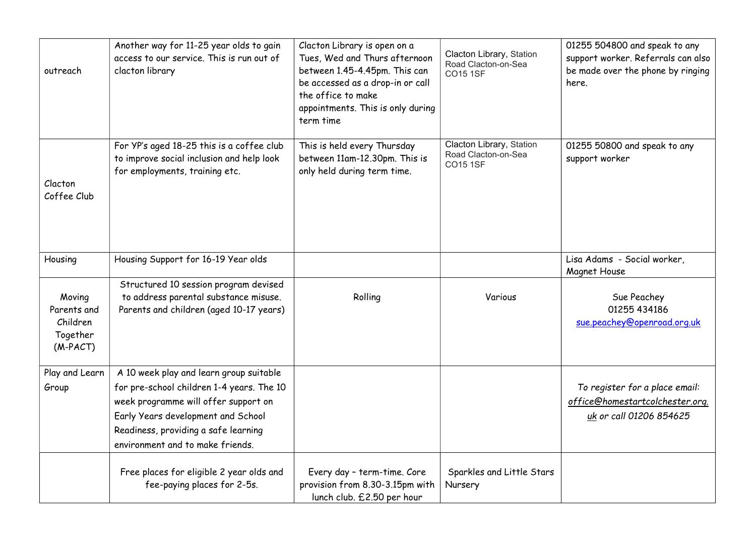| outreach                                                    | Another way for 11-25 year olds to gain<br>access to our service. This is run out of<br>clacton library                                                                                                                                        | Clacton Library is open on a<br>Tues, Wed and Thurs afternoon<br>between 1.45-4.45pm. This can<br>be accessed as a drop-in or call<br>the office to make<br>appointments. This is only during<br>term time | Clacton Library, Station<br>Road Clacton-on-Sea<br><b>CO15 1SF</b> | 01255 504800 and speak to any<br>support worker. Referrals can also<br>be made over the phone by ringing<br>here. |
|-------------------------------------------------------------|------------------------------------------------------------------------------------------------------------------------------------------------------------------------------------------------------------------------------------------------|------------------------------------------------------------------------------------------------------------------------------------------------------------------------------------------------------------|--------------------------------------------------------------------|-------------------------------------------------------------------------------------------------------------------|
| Clacton<br>Coffee Club                                      | For YP's aged 18-25 this is a coffee club<br>to improve social inclusion and help look<br>for employments, training etc.                                                                                                                       | This is held every Thursday<br>between 11am-12.30pm. This is<br>only held during term time.                                                                                                                | Clacton Library, Station<br>Road Clacton-on-Sea<br><b>CO15 1SF</b> | 01255 50800 and speak to any<br>support worker                                                                    |
| Housing                                                     | Housing Support for 16-19 Year olds                                                                                                                                                                                                            |                                                                                                                                                                                                            |                                                                    | Lisa Adams - Social worker,<br>Magnet House                                                                       |
| Moving<br>Parents and<br>Children<br>Together<br>$(M-PACT)$ | Structured 10 session program devised<br>to address parental substance misuse.<br>Parents and children (aged 10-17 years)                                                                                                                      | Rolling                                                                                                                                                                                                    | Various                                                            | Sue Peachey<br>01255 434186<br>sue.peachey@openroad.org.uk                                                        |
| Play and Learn<br>Group                                     | A 10 week play and learn group suitable<br>for pre-school children 1-4 years. The 10<br>week programme will offer support on<br>Early Years development and School<br>Readiness, providing a safe learning<br>environment and to make friends. |                                                                                                                                                                                                            |                                                                    | To register for a place email:<br>office@homestartcolchester.org.<br>uk or call 01206 854625                      |
|                                                             | Free places for eligible 2 year olds and<br>fee-paying places for 2-5s.                                                                                                                                                                        | Every day - term-time. Core<br>provision from 8.30-3.15pm with<br>lunch club. £2.50 per hour                                                                                                               | Sparkles and Little Stars<br>Nursery                               |                                                                                                                   |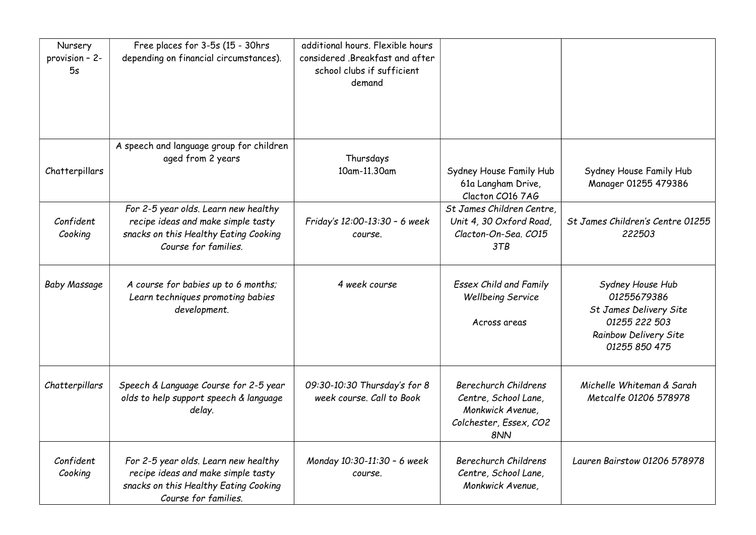| Nursery<br>provision - 2-<br>5s | Free places for 3-5s (15 - 30hrs<br>depending on financial circumstances).                                                                  | additional hours. Flexible hours<br>considered .Breakfast and after<br>school clubs if sufficient<br>demand |                                                                                                          |                                                                                                                      |
|---------------------------------|---------------------------------------------------------------------------------------------------------------------------------------------|-------------------------------------------------------------------------------------------------------------|----------------------------------------------------------------------------------------------------------|----------------------------------------------------------------------------------------------------------------------|
| Chatterpillars                  | A speech and language group for children<br>aged from 2 years                                                                               | Thursdays<br>10am-11.30am                                                                                   | Sydney House Family Hub<br>61a Langham Drive,<br>Clacton CO16 7AG                                        | Sydney House Family Hub<br>Manager 01255 479386                                                                      |
| Confident<br>Cooking            | For 2-5 year olds. Learn new healthy<br>recipe ideas and make simple tasty<br>snacks on this Healthy Eating Cooking<br>Course for families. | Friday's 12:00-13:30 - 6 week<br>course.                                                                    | St James Children Centre.<br>Unit 4, 30 Oxford Road,<br>Clacton-On-Sea. CO15<br>3TB                      | St James Children's Centre 01255<br>222503                                                                           |
| <b>Baby Massage</b>             | A course for babies up to 6 months;<br>Learn techniques promoting babies<br>development.                                                    | 4 week course                                                                                               | <b>Essex Child and Family</b><br><b>Wellbeing Service</b><br>Across areas                                | Sydney House Hub<br>01255679386<br>St James Delivery Site<br>01255 222 503<br>Rainbow Delivery Site<br>01255 850 475 |
| Chatterpillars                  | Speech & Language Course for 2-5 year<br>olds to help support speech & language<br>delay.                                                   | 09:30-10:30 Thursday's for 8<br>week course. Call to Book                                                   | <b>Berechurch Childrens</b><br>Centre, School Lane,<br>Monkwick Avenue,<br>Colchester, Essex, CO2<br>8NN | Michelle Whiteman & Sarah<br>Metcalfe 01206 578978                                                                   |
| Confident<br>Cooking            | For 2-5 year olds. Learn new healthy<br>recipe ideas and make simple tasty<br>snacks on this Healthy Eating Cooking<br>Course for families. | Monday 10:30-11:30 - 6 week<br>course.                                                                      | <b>Berechurch Childrens</b><br>Centre, School Lane,<br>Monkwick Avenue,                                  | Lauren Bairstow 01206 578978                                                                                         |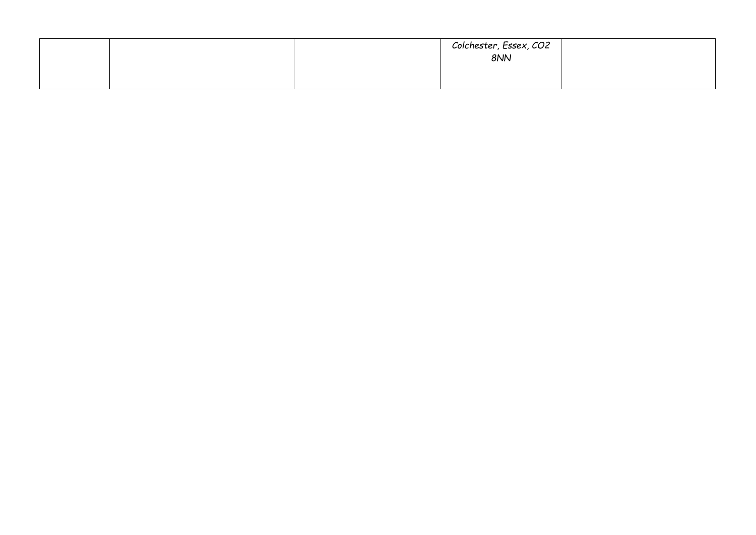|  | Colchester, Essex, CO2<br>8NN |  |
|--|-------------------------------|--|
|  |                               |  |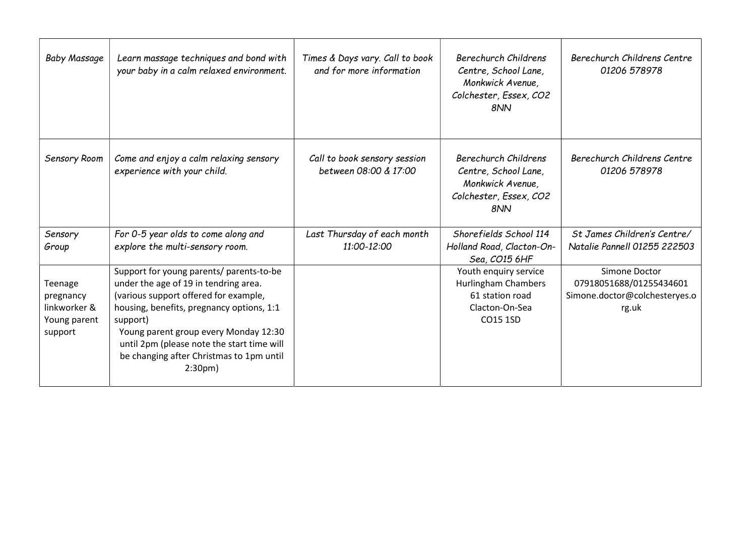| <b>Baby Massage</b>                                             | Learn massage techniques and bond with<br>your baby in a calm relaxed environment.                                                                                                                                                                                                                                                           | Times & Days vary. Call to book<br>and for more information | <b>Berechurch Childrens</b><br>Centre, School Lane,<br>Monkwick Avenue,<br>Colchester, Essex, CO2<br>8NN | Berechurch Childrens Centre<br>01206 578978                                        |
|-----------------------------------------------------------------|----------------------------------------------------------------------------------------------------------------------------------------------------------------------------------------------------------------------------------------------------------------------------------------------------------------------------------------------|-------------------------------------------------------------|----------------------------------------------------------------------------------------------------------|------------------------------------------------------------------------------------|
| Sensory Room                                                    | Come and enjoy a calm relaxing sensory<br>experience with your child.                                                                                                                                                                                                                                                                        | Call to book sensory session<br>between 08:00 & 17:00       | Berechurch Childrens<br>Centre, School Lane,<br>Monkwick Avenue,<br>Colchester, Essex, CO2<br>8NN        | Berechurch Childrens Centre<br>01206 578978                                        |
| Sensory<br>Group                                                | For 0-5 year olds to come along and<br>explore the multi-sensory room.                                                                                                                                                                                                                                                                       | Last Thursday of each month<br>11:00-12:00                  | Shorefields School 114<br>Holland Road, Clacton-On-<br>Sea, CO15 6HF                                     | St James Children's Centre/<br>Natalie Pannell 01255 222503                        |
| Teenage<br>pregnancy<br>linkworker &<br>Young parent<br>support | Support for young parents/ parents-to-be<br>under the age of 19 in tendring area.<br>(various support offered for example,<br>housing, benefits, pregnancy options, 1:1<br>support)<br>Young parent group every Monday 12:30<br>until 2pm (please note the start time will<br>be changing after Christmas to 1pm until<br>2:30 <sub>pm</sub> |                                                             | Youth enquiry service<br>Hurlingham Chambers<br>61 station road<br>Clacton-On-Sea<br>CO15 1SD            | Simone Doctor<br>07918051688/01255434601<br>Simone.doctor@colchesteryes.o<br>rg.uk |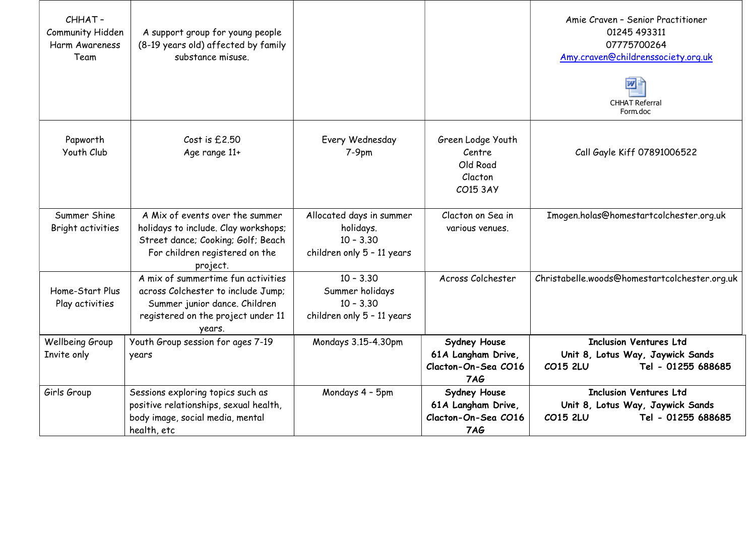|                                    | CHHAT-<br>Community Hidden<br>Harm Awareness<br>Team | A support group for young people<br>(8-19 years old) affected by family<br>substance misuse.                                                                |                                                                                    |                                                                  | Amie Craven - Senior Practitioner<br>01245 493311<br>07775700264<br>Amy.craven@childrenssociety.org.uk<br>w<br><b>CHHAT Referral</b> |
|------------------------------------|------------------------------------------------------|-------------------------------------------------------------------------------------------------------------------------------------------------------------|------------------------------------------------------------------------------------|------------------------------------------------------------------|--------------------------------------------------------------------------------------------------------------------------------------|
|                                    |                                                      |                                                                                                                                                             |                                                                                    |                                                                  | Form doc                                                                                                                             |
| Papworth<br>Youth Club             |                                                      | Cost is £2.50<br>Age range 11+                                                                                                                              | Every Wednesday<br>$7-9pm$                                                         | Green Lodge Youth<br>Centre<br>Old Road<br>Clacton<br>CO15 3AY   | Call Gayle Kiff 07891006522                                                                                                          |
|                                    | Summer Shine<br>Bright activities                    | A Mix of events over the summer<br>holidays to include. Clay workshops;<br>Street dance; Cooking; Golf; Beach<br>For children registered on the<br>project. | Allocated days in summer<br>holidays.<br>$10 - 3.30$<br>children only 5 - 11 years | Clacton on Sea in<br>various venues.                             | Imogen.holas@homestartcolchester.org.uk                                                                                              |
| Home-Start Plus<br>Play activities |                                                      | A mix of summertime fun activities<br>across Colchester to include Jump;<br>Summer junior dance. Children<br>registered on the project under 11<br>years.   | $10 - 3.30$<br>Summer holidays<br>$10 - 3.30$<br>children only 5 - 11 years        | Across Colchester                                                | Christabelle.woods@homestartcolchester.org.uk                                                                                        |
|                                    | Wellbeing Group<br>Invite only                       | Youth Group session for ages 7-19<br>years                                                                                                                  | Mondays 3.15-4.30pm                                                                | Sydney House<br>61A Langham Drive,<br>Clacton-On-Sea CO16<br>7AG | <b>Inclusion Ventures Ltd</b><br>Unit 8, Lotus Way, Jaywick Sands<br>Tel - 01255 688685<br>CO15 2LU                                  |
|                                    | Girls Group                                          | Sessions exploring topics such as<br>positive relationships, sexual health,<br>body image, social media, mental<br>health, etc                              | Mondays 4 - 5pm                                                                    | Sydney House<br>61A Langham Drive,<br>Clacton-On-Sea CO16<br>7AG | <b>Inclusion Ventures Ltd</b><br>Unit 8, Lotus Way, Jaywick Sands<br>Tel - 01255 688685<br>CO15 2LU                                  |